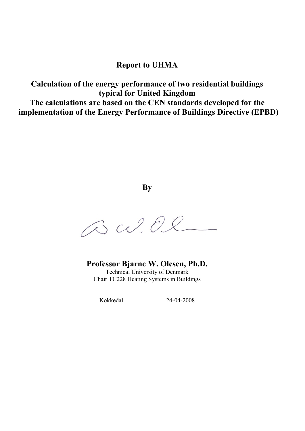### Report to UHMA

Calculation of the energy performance of two residential buildings typical for United Kingdom The calculations are based on the CEN standards developed for the implementation of the Energy Performance of Buildings Directive (EPBD)

**By** 

BW.Ol

Professor Bjarne W. Olesen, Ph.D. Technical University of Denmark Chair TC228 Heating Systems in Buildings

Kokkedal 24-04-2008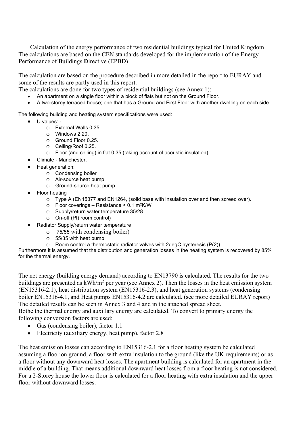Calculation of the energy performance of two residential buildings typical for United Kingdom The calculations are based on the CEN standards developed for the implementation of the Energy Performance of Buildings Directive (EPBD)

The calculation are based on the procedure described in more detailed in the report to EURAY and some of the results are partly used in this report.

The calculations are done for two types of residential buildings (see Annex 1):

- An apartment on a single floor within a block of flats but not on the Ground Floor.
- A two-storey terraced house; one that has a Ground and First Floor with another dwelling on each side

The following building and heating system specifications were used:

- U values:
	- o External Walls 0.35.
	- o Windows 2.20.
	- o Ground Floor 0.25.
	- o Ceiling/Roof 0.25.
	- o Floor (and ceiling) in flat 0.35 (taking account of acoustic insulation).
	- Climate Manchester.
- Heat generation:
	- o Condensing boiler
	- o Air-source heat pump
	- o Ground-source heat pump
- Floor heating
	- o Type A (EN15377 and EN1264, (solid base with insulation over and then screed over).
	- $\circ$  Floor coverings Resistance < 0.1 m<sup>2</sup>K/W
	- o Supply/return water temperature 35/28
	- o On-off (PI) room control)
- Radiator Supply/return water temperature
	- o 75/55 with condensing boiler)
	- o 55/35 with heat pump
	- o Room control a thermostatic radiator valves with 2degC hysteresis (P(2))

Furthermore it is assumed that the distribution and generation losses in the heating system is recovered by 85% for the thermal energy.

The net energy (building energy demand) according to EN13790 is calculated. The results for the two buildings are presented as  $kWh/m^2$  per year (see Annex 2). Then the losses in the heat emission system (EN15316-2.1), heat distribution system (EN15316-2.3), and heat generation systems (condensing boiler EN15316-4.1, and Heat pumps EN15316-4.2 are calculated. (see more detailed EURAY report) The detailed results can be seen in Annex 3 and 4 and in the attached spread sheet. Bothe the thermal energy and auxillary energy are calculated. To convert to primary energy the following conversion factors are used:

- Gas (condensing boiler), factor 1.1
- Electricity (auxiliary energy, heat pump), factor 2.8

The heat emission losses can according to EN15316-2.1 for a floor heating system be calculated assuming a floor on ground, a floor with extra insulation to the ground (like the UK requirements) or as a floor without any downward heat losses. The apartment building is calculated for an apartment in the middle of a building. That means additional downward heat losses from a floor heating is not considered. For a 2-Storey house the lower floor is calculated for a floor heating with extra insulation and the upper floor without downward losses.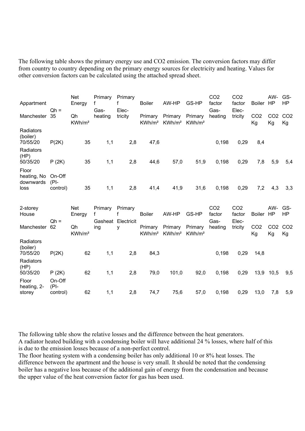The following table shows the primary energy use and CO2 emission. The conversion factors may differ from country to country depending on the primary energy sources for electricity and heating. Values for other conversion factors can be calculated using the attached spread sheet.

| Appartment                                | $Qh =$                        | <b>Net</b><br>Energy     | Primary<br>Gas- | Primary<br>Elec-                   | <b>Boiler</b>                 | AW-HP                         | GS-HP                         | CO <sub>2</sub><br>factor<br>Gas- | CO <sub>2</sub><br>factor<br>Elec- | Boiler HP             | AW-                   | GS-<br>HP             |
|-------------------------------------------|-------------------------------|--------------------------|-----------------|------------------------------------|-------------------------------|-------------------------------|-------------------------------|-----------------------------------|------------------------------------|-----------------------|-----------------------|-----------------------|
| Manchester                                | 35                            | Qh<br>KWh/m <sup>2</sup> | heating         | tricity                            | Primary<br>KWh/m <sup>2</sup> | Primary<br>KWh/m <sup>2</sup> | Primary<br>KWh/m <sup>2</sup> | heating                           | tricity                            | CO <sub>2</sub><br>Kg | CO <sub>2</sub><br>Kg | CO <sub>2</sub><br>Kg |
| Radiators<br>(boiler)<br>70/55/20         | P(2K)                         | 35                       | 1,1             | 2,8                                | 47,6                          |                               |                               | 0,198                             | 0,29                               | 8,4                   |                       |                       |
| Radiators<br>(HP)<br>50/35/20             | P(2K)                         | 35                       | 1,1             | 2,8                                | 44,6                          | 57,0                          | 51,9                          | 0,198                             | 0,29                               | 7,8                   | 5,9                   | 5,4                   |
| Floor<br>heating, No<br>downwards<br>loss | On-Off<br>$(PI -$<br>control) | 35                       | 1,1             | 2,8                                | 41,4                          | 41,9                          | 31,6                          | 0,198                             | 0,29                               | 7,2                   | 4,3                   | 3,3                   |
| 2-storey<br>House                         | $Qh =$                        | <b>Net</b><br>Energy     | Primary<br>f    | Primary<br>f<br>Gasheat Electricit | <b>Boiler</b>                 | AW-HP                         | GS-HP                         | CO <sub>2</sub><br>factor<br>Gas- | CO <sub>2</sub><br>factor<br>Elec- | <b>Boiler</b>         | AW-<br><b>HP</b>      | GS-<br>HP             |
| Manchester                                | 62                            | Qh<br>KWh/m <sup>2</sup> | ing             | у                                  | Primary<br>KWh/m <sup>2</sup> | Primary<br>KWh/m <sup>2</sup> | Primary<br>KWh/m <sup>2</sup> | heating                           | tricity                            | CO <sub>2</sub><br>Kg | CO <sub>2</sub><br>Kg | CO <sub>2</sub><br>Kg |
| Radiators<br>(boiler)<br>70/55/20         | P(2K)                         | 62                       | 1,1             | 2,8                                | 84,3                          |                               |                               | 0,198                             | 0,29                               | 14,8                  |                       |                       |
| Radiators<br>(HP)<br>50/35/20             | P(2K)                         | 62                       | 1,1             | 2,8                                | 79,0                          | 101,0                         | 92,0                          | 0,198                             | 0,29                               | 13,9                  | 10,5                  | 9,5                   |
| Floor<br>heating, 2-<br>storey            | On-Off<br>$(PI-$<br>control)  | 62                       | 1,1             | 2,8                                | 74,7                          | 75,6                          | 57,0                          | 0,198                             | 0,29                               | 13,0                  | 7,8                   | 5,9                   |

The following table show the relative losses and the difference between the heat generators. A radiator heated building with a condensing boiler will have additional 24 % losses, where half of this is due to the emission losses because of a non-perfect control.

The floor heating system with a condensing boiler has only additional 10 or 8% heat losses. The difference between the apartment and the house is very small. It should be noted that the condensing boiler has a negative loss because of the additional gain of energy from the condensation and because the upper value of the heat conversion factor for gas has been used.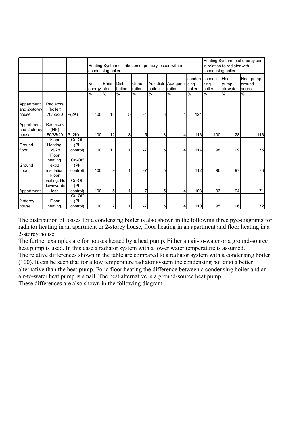|                                     |                                           |                               | condensing boiler         |       | Heating System distribution of primary losses with a | Heating System total energy use<br>in relation to radiator with<br>condensing boiler |        |                                    |               |                                  |                            |                                |
|-------------------------------------|-------------------------------------------|-------------------------------|---------------------------|-------|------------------------------------------------------|--------------------------------------------------------------------------------------|--------|------------------------------------|---------------|----------------------------------|----------------------------|--------------------------------|
|                                     |                                           |                               | <b>Net</b><br>energy sion | Emis- | Distri-<br>bution                                    | Gene-<br>ration                                                                      | bution | Aux distri-Aux gene-sing<br>ration | boiler        | conden conden-<br>sing<br>boiler | Heat<br>pump,<br>air-water | Heat pump,<br>ground<br>source |
|                                     |                                           |                               | %                         | $\%$  | %                                                    | %                                                                                    | %      | %                                  | $\frac{0}{0}$ | %                                | $\%$                       | %                              |
| Appartment<br>and 2-storey<br>house | Radiators<br>(boiler)<br>70/55/20         | P(2K)                         | 100                       | 13    | 5                                                    | $-1$                                                                                 | 3      | 4                                  | 124           |                                  |                            |                                |
| Appartment<br>and 2-storey<br>house | Radiators<br>(HP)<br>50/35/20             | P(2K)                         | 100                       | 12    | 3                                                    | $-5$                                                                                 | 3      | 4                                  | 116           | 100                              | 128                        | 116                            |
| Ground<br>floor                     | Floor<br>Heating,<br>35/28                | On-Off<br>$(PI -$<br>control) | 100                       | 11    | 1                                                    | $-7$                                                                                 | 5      | 4                                  | 114           | 98                               | 99                         | 75                             |
| Ground<br>floor                     | Floor<br>heating,<br>extra<br>insulation  | On-Off<br>$(PI-$<br>control)  | 100                       | 9     | 1                                                    | $-7$                                                                                 | 5      | 4                                  | 112           | 96                               | 97                         | 73                             |
| Appartment                          | Floor<br>heating, No<br>downwards<br>loss | On-Off<br>(PI-<br>control)    | 100                       | 5     | 1                                                    | $-7$                                                                                 | 5      |                                    | 108           | 93                               | 94                         | 71                             |
| 2-storey<br>house                   | Floor<br>heating,                         | On-Off<br>(PI-<br>control)    | 100                       | 7     | 1                                                    | $-7$                                                                                 | 5      | 4                                  | 110           | 95                               | 96                         | 72                             |

The distribution of losses for a condensing boiler is also shown in the following three pye-diagrams for radiator heating in an apartment or 2-storey house, floor heating in an apartment and floor heating in a 2-storey house.

The further examples are for houses heated by a heat pump. Either an air-to-water or a ground-source heat pump is used. In this case a radiator system with a lower water temperature is assumed. The relative differences shown in the table are compared to a radiator system with a condensing boiler (100). It can be seen that for a low temperature radiator system the condensing boiler si a better

alternative than the heat pump. For a floor heating the difference between a condensing boiler and an air-to-water heat pump is small. The best alternative is a ground-source heat pump. These differences are also shown in the following diagram.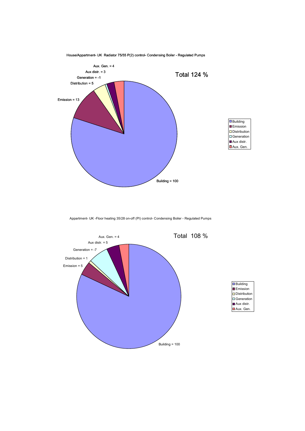

House/Appartment- UK Radiator 75/55 P(2) control- Condensing Boiler - Regulated Pumps

Appartment- UK -Floor heating 35/28 on-off (PI) control- Condensing Boiler - Regulated Pumps

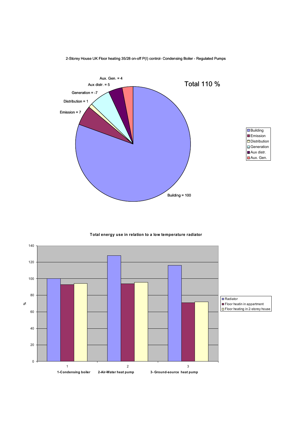

2-Storey House UK Floor heating 35/28 on-off P(I) control- Condensing Boiler - Regulated Pumps

Total energy use in relation to a low temperature radiator

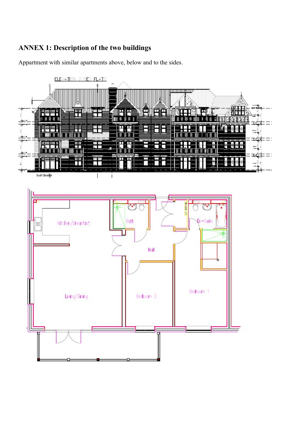### ANNEX 1: Description of the two buildings

Appartment with similar apartments above, below and to the sides.



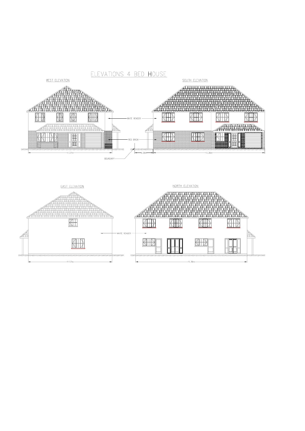

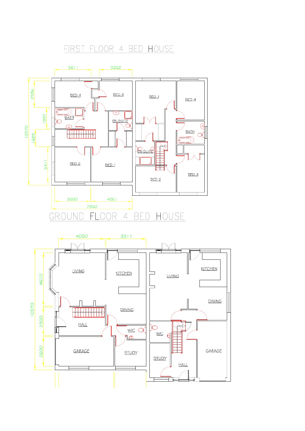## FIRST FLOOR 4 BED HOUSE

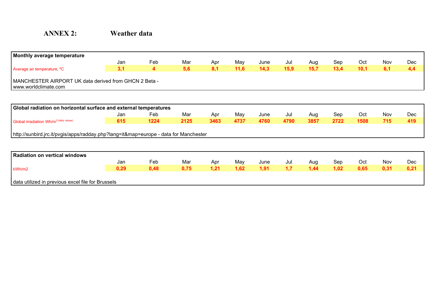## ANNEX 2: Weather data

| Monthly average temperature                                                       |                                                                  |      |      |      |      |      |      |      |      |      |            |            |  |  |  |
|-----------------------------------------------------------------------------------|------------------------------------------------------------------|------|------|------|------|------|------|------|------|------|------------|------------|--|--|--|
|                                                                                   | Jan                                                              | Feb  | Mar  | Apr  | May  | June | Jul  | Aug  | Sep  | Oct  | Nov        | <b>Dec</b> |  |  |  |
| Average air temperature, °C                                                       | 3,1                                                              | 4    | 5,6  | 8,1  | 11,6 | 14,3 | 15,9 | 15,7 | 13,4 | 10,1 | 6,1        | 4,4        |  |  |  |
| www.worldclimate.com                                                              | MANCHESTER AIRPORT UK data derived from GHCN 2 Beta -            |      |      |      |      |      |      |      |      |      |            |            |  |  |  |
|                                                                                   |                                                                  |      |      |      |      |      |      |      |      |      |            |            |  |  |  |
|                                                                                   | Global radiation on horizontal surface and external temperatures |      |      |      |      |      |      |      |      |      |            |            |  |  |  |
|                                                                                   | Jan                                                              | Feb  | Mar  | Apr  | May  | June | Jul  | Aug  | Sep  | Oct  | <b>Nov</b> | <b>Dec</b> |  |  |  |
| Global irradiation Wh/m <sup>2 (daily values)</sup>                               | 615                                                              | 1224 | 2125 | 3463 | 4737 | 4760 | 4790 | 3857 | 2722 | 1508 | 715        | 419        |  |  |  |
|                                                                                   |                                                                  |      |      |      |      |      |      |      |      |      |            |            |  |  |  |
| http://sunbird.jrc.it/pvgis/apps/radday.php?lang=it↦=europe - data for Manchester |                                                                  |      |      |      |      |      |      |      |      |      |            |            |  |  |  |
|                                                                                   |                                                                  |      |      |      |      |      |      |      |      |      |            |            |  |  |  |
| <b>Radiation on vertical windows</b>                                              |                                                                  |      |      |      |      |      |      |      |      |      |            |            |  |  |  |
|                                                                                   | Jan                                                              | Feb  | Mar  | Apr  | May  | June | Jul  | Aug  | Sep  | Oct  | <b>Nov</b> | <b>Dec</b> |  |  |  |
| kWh/m2                                                                            | 0,29                                                             | 0,48 | 0,75 | 1,21 | 1,62 | 1,91 | 1,7  | 1,44 | 1,02 | 0,65 | 0,31       | 0,21       |  |  |  |
|                                                                                   |                                                                  |      |      |      |      |      |      |      |      |      |            |            |  |  |  |

data utilized in previous excel file for Brussels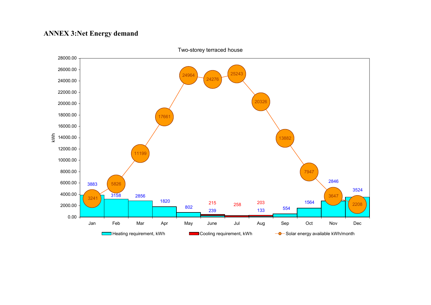### ANNEX 3:Net Energy demand



Two-storey terraced house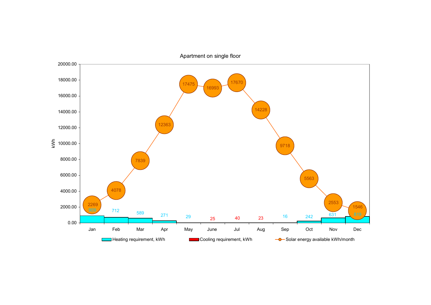

Apartment on single floor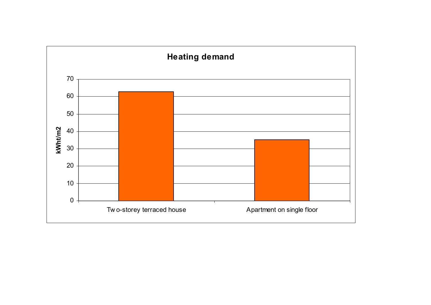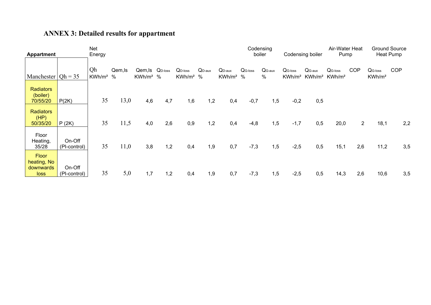# ANNEX 3: Detailed results for appartment

| <b>Appartment</b>                                |                        | Net<br>Energy            |                 |                                            |     |                          |                    |                                   |           | Codensing<br>boiler       |                                 | Codensing boiler               | Pump                            | Air-Water Heat |                                           | <b>Ground Source</b><br>Heat Pump |
|--------------------------------------------------|------------------------|--------------------------|-----------------|--------------------------------------------|-----|--------------------------|--------------------|-----------------------------------|-----------|---------------------------|---------------------------------|--------------------------------|---------------------------------|----------------|-------------------------------------------|-----------------------------------|
| Manchester $ Oh = 35$                            |                        | Qh<br>KWh/m <sup>2</sup> | Qem, Is<br>$\%$ | Qem, Is Q <sub>D-loss</sub><br>$KWh/m^2$ % |     | $QD-loss$<br>$KWh/m^2$ % | $Q_{D\text{-}aux}$ | $Q_{D\text{-}aux}$<br>$KWh/m^2$ % | $QG-loss$ | $QG-aux$<br>$\frac{0}{0}$ | $QG-loss$<br>KWh/m <sup>2</sup> | $QG-aux$<br>KWh/m <sup>2</sup> | $QG-loss$<br>KWh/m <sup>2</sup> | <b>COP</b>     | Q <sub>G-loss</sub><br>KWh/m <sup>2</sup> | <b>COP</b>                        |
| <b>Radiators</b><br>(boiler)<br>70/55/20         | P(2K)                  | 35                       | 13,0            | 4,6                                        | 4,7 | 1,6                      | 1,2                | 0,4                               | $-0,7$    | 1,5                       | $-0,2$                          | 0,5                            |                                 |                |                                           |                                   |
| <b>Radiators</b><br>(HP)<br>50/35/20             | P(2K)                  | 35                       | 11,5            | 4,0                                        | 2,6 | 0,9                      | 1,2                | 0,4                               | $-4,8$    | 1,5                       | $-1,7$                          | 0,5                            | 20,0                            | $\overline{2}$ | 18,1                                      | 2,2                               |
| Floor<br>Heating,<br>35/28                       | On-Off<br>(PI-control) | 35                       | 11,0            | 3,8                                        | 1,2 | 0,4                      | 1,9                | 0,7                               | $-7,3$    | 1,5                       | $-2,5$                          | 0,5                            | 15,1                            | 2,6            | 11,2                                      | 3,5                               |
| <b>Floor</b><br>heating, No<br>downwards<br>loss | On-Off<br>(PI-control) | 35                       | 5,0             | 1,7                                        | 1,2 | 0,4                      | 1,9                | 0,7                               | $-7,3$    | 1,5                       | $-2,5$                          | 0,5                            | 14,3                            | 2,6            | 10,6                                      | 3,5                               |